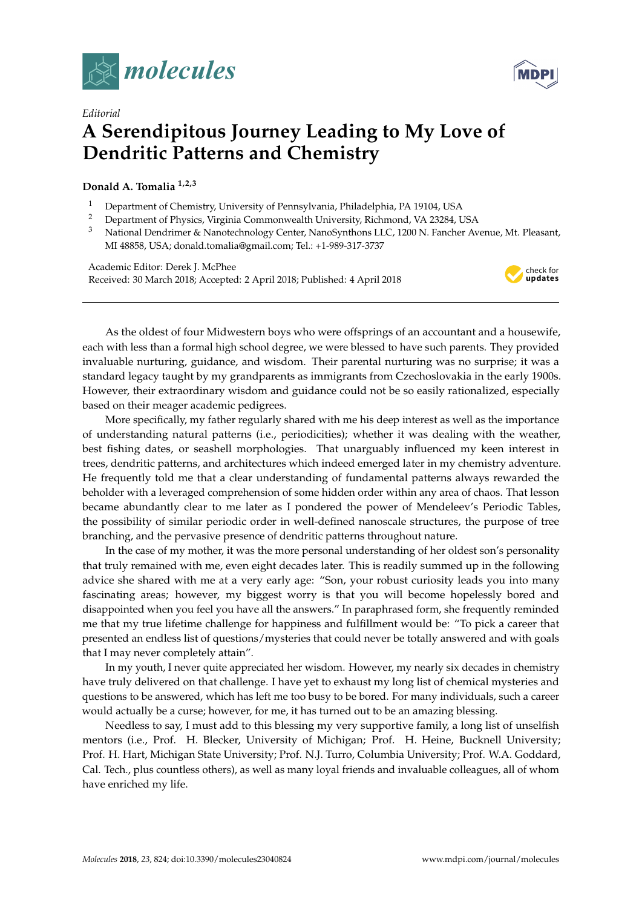



## *Editorial* **A Serendipitous Journey Leading to My Love of Dendritic Patterns and Chemistry**

## **Donald A. Tomalia 1,2,3**

- <sup>1</sup> Department of Chemistry, University of Pennsylvania, Philadelphia, PA 19104, USA<br><sup>2</sup> Department of Physics Virginia Commonwealth University, Pichmond, VA 23284, L
- <sup>2</sup> Department of Physics, Virginia Commonwealth University, Richmond, VA 23284, USA<br><sup>3</sup> National Department of Nanotechnology Contex NanoSynthone LLC 1200 N. Eancher Av
- <sup>3</sup> National Dendrimer & Nanotechnology Center, NanoSynthons LLC, 1200 N. Fancher Avenue, Mt. Pleasant, MI 48858, USA; donald.tomalia@gmail.com; Tel.: +1-989-317-3737

Academic Editor: Derek J. McPhee Received: 30 March 2018; Accepted: 2 April 2018; Published: 4 April 2018



As the oldest of four Midwestern boys who were offsprings of an accountant and a housewife, each with less than a formal high school degree, we were blessed to have such parents. They provided invaluable nurturing, guidance, and wisdom. Their parental nurturing was no surprise; it was a standard legacy taught by my grandparents as immigrants from Czechoslovakia in the early 1900s. However, their extraordinary wisdom and guidance could not be so easily rationalized, especially based on their meager academic pedigrees.

More specifically, my father regularly shared with me his deep interest as well as the importance of understanding natural patterns (i.e., periodicities); whether it was dealing with the weather, best fishing dates, or seashell morphologies. That unarguably influenced my keen interest in trees, dendritic patterns, and architectures which indeed emerged later in my chemistry adventure. He frequently told me that a clear understanding of fundamental patterns always rewarded the beholder with a leveraged comprehension of some hidden order within any area of chaos. That lesson became abundantly clear to me later as I pondered the power of Mendeleev's Periodic Tables, the possibility of similar periodic order in well-defined nanoscale structures, the purpose of tree branching, and the pervasive presence of dendritic patterns throughout nature.

In the case of my mother, it was the more personal understanding of her oldest son's personality that truly remained with me, even eight decades later. This is readily summed up in the following advice she shared with me at a very early age: "Son, your robust curiosity leads you into many fascinating areas; however, my biggest worry is that you will become hopelessly bored and disappointed when you feel you have all the answers." In paraphrased form, she frequently reminded me that my true lifetime challenge for happiness and fulfillment would be: "To pick a career that presented an endless list of questions/mysteries that could never be totally answered and with goals that I may never completely attain".

In my youth, I never quite appreciated her wisdom. However, my nearly six decades in chemistry have truly delivered on that challenge. I have yet to exhaust my long list of chemical mysteries and questions to be answered, which has left me too busy to be bored. For many individuals, such a career would actually be a curse; however, for me, it has turned out to be an amazing blessing.

Needless to say, I must add to this blessing my very supportive family, a long list of unselfish mentors (i.e., Prof. H. Blecker, University of Michigan; Prof. H. Heine, Bucknell University; Prof. H. Hart, Michigan State University; Prof. N.J. Turro, Columbia University; Prof. W.A. Goddard, Cal. Tech., plus countless others), as well as many loyal friends and invaluable colleagues, all of whom have enriched my life.